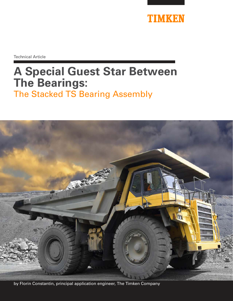

Technical Article

# **A Special Guest Star Between The Bearings:**  The Stacked TS Bearing Assembly



by Florin Constantin, principal application engineer, The Timken Company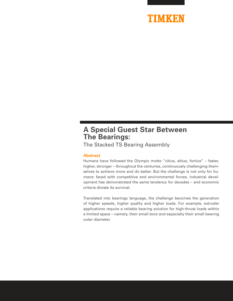

# **A Special Guest Star Between The Bearings:**

The Stacked TS Bearing Assembly

# **Abstract**

Humans have followed the Olympic motto "citius, altius, fortius" – faster, higher, stronger – throughout the centuries, continuously challenging themselves to achieve more and do better. But the challenge is not only for humans: faced with competitive and environmental forces, industrial development has demonstrated the same tendency for decades – and economic criteria dictate its survival.

Translated into bearings language, the challenge becomes the generation of higher speeds, higher quality and higher loads. For example, extruder applications require a reliable bearing solution for high-thrust loads within a limited space – namely, their small bore and especially their small bearing outer diameter.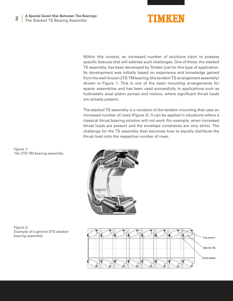

Within this context, an increased number of solutions claim to possess specific features that will address such challenges. One of these, the stacked TS assembly, has been developed by Timken just for this type of application. Its development was initially based on experience and knowledge gained from the well-known 2TS-TM bearing (the tandem TS arrangement assembly) shown in Figure 1. This is one of the basic mounting arrangements for spacer assemblies and has been used successfully in applications such as hydrostatic axial piston pumps and motors, where significant thrust loads are already present.

The stacked TS assembly is a variation of the tandem mounting that uses an increased number of rows (Figure 2). It can be applied in situations where a classical thrust bearing solution will not work (for example, when increased thrust loads are present and the envelope constraints are very strict). The challenge for the TS assembly then becomes how to equally distribute the thrust load onto the respective number of rows.

*Figure 1: The 2TS-TM bearing assembly.*





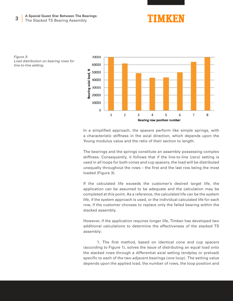#### **3 A Special Guest Star Between The Bearings:** The Stacked TS Bearing Assembly



*Figure 3: Load distribution on bearing rows for line-to-line setting.*



In a simplified approach, the spacers perform like simple springs, with a characteristic stiffness in the axial direction, which depends upon the Young modulus value and the ratio of their section to length.

The bearings and the springs constitute an assembly possessing complex stiffness. Consequently, it follows that if the line-to-line (zero) setting is used in all loops for both cones and cup spacers, the load will be distributed unequally throughout the rows – the first and the last row being the most loaded (Figure 3).

If the calculated life exceeds the customer's desired target life, the application can be assumed to be adequate and the calculation may be completed at this point. As a reference, the calculated life can be the system life, if the system approach is used, or the individual calculated life for each row, if the customer chooses to replace only the failed bearing within the stacked assembly.

However, if the application requires longer life, Timken has developed two additional calculations to determine the effectiveness of the stacked TS assembly:

 1. The first method, based on identical cone and cup spacers (according to Figure 1), solves the issue of distributing an equal load onto the stacked rows through a differential axial setting (endplay or preload) specific to each of the two adjacent bearings (one loop). The setting value depends upon the applied load, the number of rows, the loop position and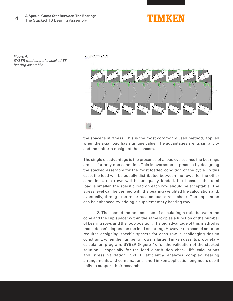#### **4 A Special Guest Star Between The Bearings:** The Stacked TS Bearing Assembly



*Figure 4: SYBER modeling of a stacked TS bearing assembly.*



the spacer's stiffness. This is the most commonly used method, applied when the axial load has a unique value. The advantages are its simplicity and the uniform design of the spacers.

The single disadvantage is the presence of a load cycle, since the bearings are set for only one condition. This is overcome in practice by designing the stacked assembly for the most loaded condition of the cycle. In this case, the load will be equally distributed between the rows; for the other conditions, the rows will be unequally loaded, but because the total load is smaller, the specific load on each row should be acceptable. The stress level can be verified with the bearing weighted life calculation and, eventually, through the roller-race contact stress check. The application can be enhanced by adding a supplementary bearing row.

 2. The second method consists of calculating a ratio between the cone and the cup spacer within the same loop as a function of the number of bearing rows and the loop position. The big advantage of this method is that it doesn't depend on the load or setting. However the second solution requires designing specific spacers for each row, a challenging design constraint, when the number of rows is large. Timken uses its proprietary calculation program, SYBER (Figure 4), for the validation of the stacked solution – especially for the load distribution check, life calculations and stress validation. SYBER efficiently analyzes complex bearing arrangements and combinations, and Timken application engineers use it daily to support their research.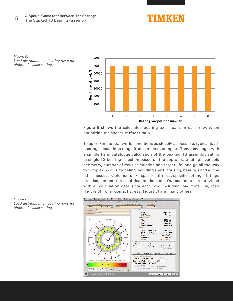

*Figure 5: Load distribution on bearing rows for differential axial setting.*



Figure 5 shows the calculated bearing axial loads in each row, when optimizing the spacer stiffness ratio.

To approximate real-world conditions as closely as possible, typical loadbearing calculations range from simple to complex. They may begin with a simple hand catalogue calculation of the bearing TS assembly rating (a single TS bearing selection based on the appropriate rating, available geometry, number of rows calculation and target life) and go all the way to complex SYBER modeling including shaft, housing, bearings and all the other necessary elements like spacer stiffness, specific settings, fittings practice, temperatures, lubrication data, etc. Our customers are provided with all calculation details for each row, including load zone, life, load (Figure 6), roller contact stress (Figure 7) and many others.